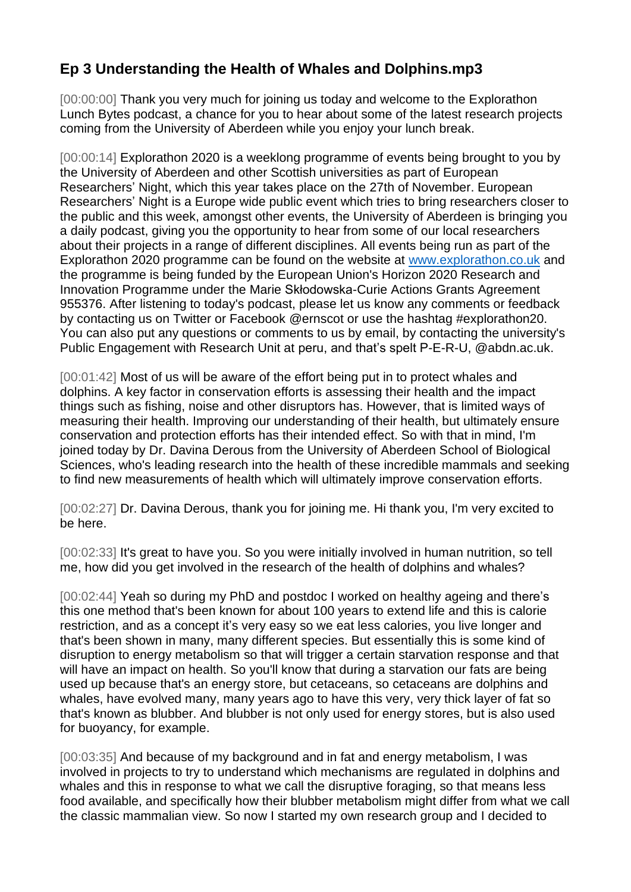## **Ep 3 Understanding the Health of Whales and Dolphins.mp3**

[00:00:00] Thank you very much for joining us today and welcome to the Explorathon Lunch Bytes podcast, a chance for you to hear about some of the latest research projects coming from the University of Aberdeen while you enjoy your lunch break.

[00:00:14] Explorathon 2020 is a weeklong programme of events being brought to you by the University of Aberdeen and other Scottish universities as part of European Researchers' Night, which this year takes place on the 27th of November. European Researchers' Night is a Europe wide public event which tries to bring researchers closer to the public and this week, amongst other events, the University of Aberdeen is bringing you a daily podcast, giving you the opportunity to hear from some of our local researchers about their projects in a range of different disciplines. All events being run as part of the Explorathon 2020 programme can be found on the website at [www.explorathon.co.uk](http://www.explorathon.co.uk/) and the programme is being funded by the European Union's Horizon 2020 Research and Innovation Programme under the Marie Skłodowska-Curie Actions Grants Agreement 955376. After listening to today's podcast, please let us know any comments or feedback by contacting us on Twitter or Facebook @ernscot or use the hashtag #explorathon20. You can also put any questions or comments to us by email, by contacting the university's Public Engagement with Research Unit at peru, and that's spelt P-E-R-U, @abdn.ac.uk.

[00:01:42] Most of us will be aware of the effort being put in to protect whales and dolphins. A key factor in conservation efforts is assessing their health and the impact things such as fishing, noise and other disruptors has. However, that is limited ways of measuring their health. Improving our understanding of their health, but ultimately ensure conservation and protection efforts has their intended effect. So with that in mind, I'm joined today by Dr. Davina Derous from the University of Aberdeen School of Biological Sciences, who's leading research into the health of these incredible mammals and seeking to find new measurements of health which will ultimately improve conservation efforts.

[00:02:27] Dr. Davina Derous, thank you for joining me. Hi thank you, I'm very excited to be here.

[00:02:33] It's great to have you. So you were initially involved in human nutrition, so tell me, how did you get involved in the research of the health of dolphins and whales?

[00:02:44] Yeah so during my PhD and postdoc I worked on healthy ageing and there's this one method that's been known for about 100 years to extend life and this is calorie restriction, and as a concept it's very easy so we eat less calories, you live longer and that's been shown in many, many different species. But essentially this is some kind of disruption to energy metabolism so that will trigger a certain starvation response and that will have an impact on health. So you'll know that during a starvation our fats are being used up because that's an energy store, but cetaceans, so cetaceans are dolphins and whales, have evolved many, many years ago to have this very, very thick layer of fat so that's known as blubber. And blubber is not only used for energy stores, but is also used for buoyancy, for example.

[00:03:35] And because of my background and in fat and energy metabolism, I was involved in projects to try to understand which mechanisms are regulated in dolphins and whales and this in response to what we call the disruptive foraging, so that means less food available, and specifically how their blubber metabolism might differ from what we call the classic mammalian view. So now I started my own research group and I decided to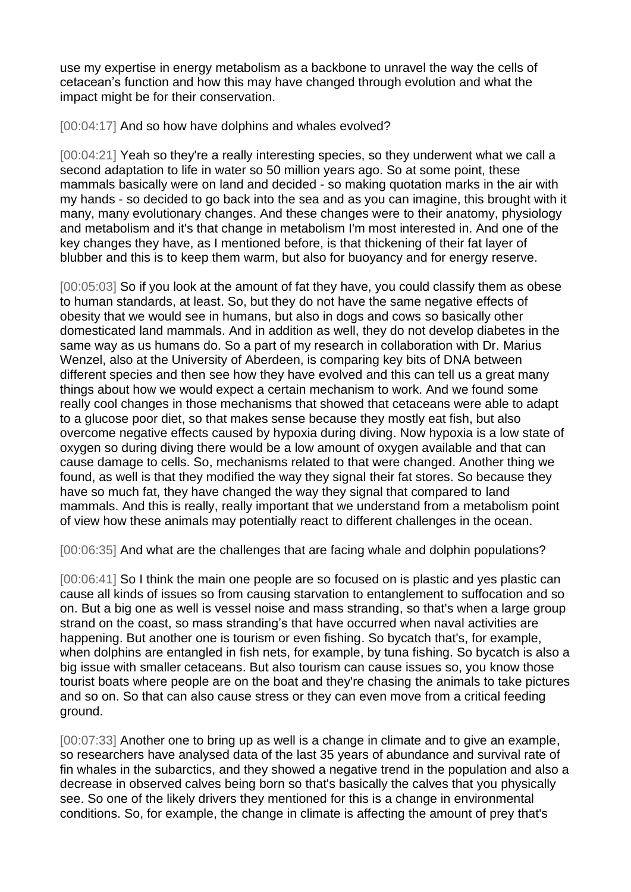use my expertise in energy metabolism as a backbone to unravel the way the cells of cetacean's function and how this may have changed through evolution and what the impact might be for their conservation.

[00:04:17] And so how have dolphins and whales evolved?

[00:04:21] Yeah so they're a really interesting species, so they underwent what we call a second adaptation to life in water so 50 million years ago. So at some point, these mammals basically were on land and decided - so making quotation marks in the air with my hands - so decided to go back into the sea and as you can imagine, this brought with it many, many evolutionary changes. And these changes were to their anatomy, physiology and metabolism and it's that change in metabolism I'm most interested in. And one of the key changes they have, as I mentioned before, is that thickening of their fat layer of blubber and this is to keep them warm, but also for buoyancy and for energy reserve.

[00:05:03] So if you look at the amount of fat they have, you could classify them as obese to human standards, at least. So, but they do not have the same negative effects of obesity that we would see in humans, but also in dogs and cows so basically other domesticated land mammals. And in addition as well, they do not develop diabetes in the same way as us humans do. So a part of my research in collaboration with Dr. [Marius](https://www.abdn.ac.uk/sbs/people/profiles/marius.wenzel)  [Wenzel,](https://www.abdn.ac.uk/sbs/people/profiles/marius.wenzel) also at the University of Aberdeen, is comparing key bits of DNA between different species and then see how they have evolved and this can tell us a great many things about how we would expect a certain mechanism to work. And we found some really cool changes in those mechanisms that showed that cetaceans were able to adapt to a glucose poor diet, so that makes sense because they mostly eat fish, but also overcome negative effects caused by hypoxia during diving. Now hypoxia is a low state of oxygen so during diving there would be a low amount of oxygen available and that can cause damage to cells. So, mechanisms related to that were changed. Another thing we found, as well is that they modified the way they signal their fat stores. So because they have so much fat, they have changed the way they signal that compared to land mammals. And this is really, really important that we understand from a metabolism point of view how these animals may potentially react to different challenges in the ocean.

[00:06:35] And what are the challenges that are facing whale and dolphin populations?

[00:06:41] So I think the main one people are so focused on is plastic and yes plastic can cause all kinds of issues so from causing starvation to entanglement to suffocation and so on. But a big one as well is vessel noise and mass stranding, so that's when a large group strand on the coast, so mass stranding's that have occurred when naval activities are happening. But another one is tourism or even fishing. So bycatch that's, for example, when dolphins are entangled in fish nets, for example, by tuna fishing. So bycatch is also a big issue with smaller cetaceans. But also tourism can cause issues so, you know those tourist boats where people are on the boat and they're chasing the animals to take pictures and so on. So that can also cause stress or they can even move from a critical feeding ground.

[00:07:33] Another one to bring up as well is a change in climate and to give an example, so researchers have analysed data of the last 35 years of abundance and survival rate of fin whales in the subarctics, and they showed a negative trend in the population and also a decrease in observed calves being born so that's basically the calves that you physically see. So one of the likely drivers they mentioned for this is a change in environmental conditions. So, for example, the change in climate is affecting the amount of prey that's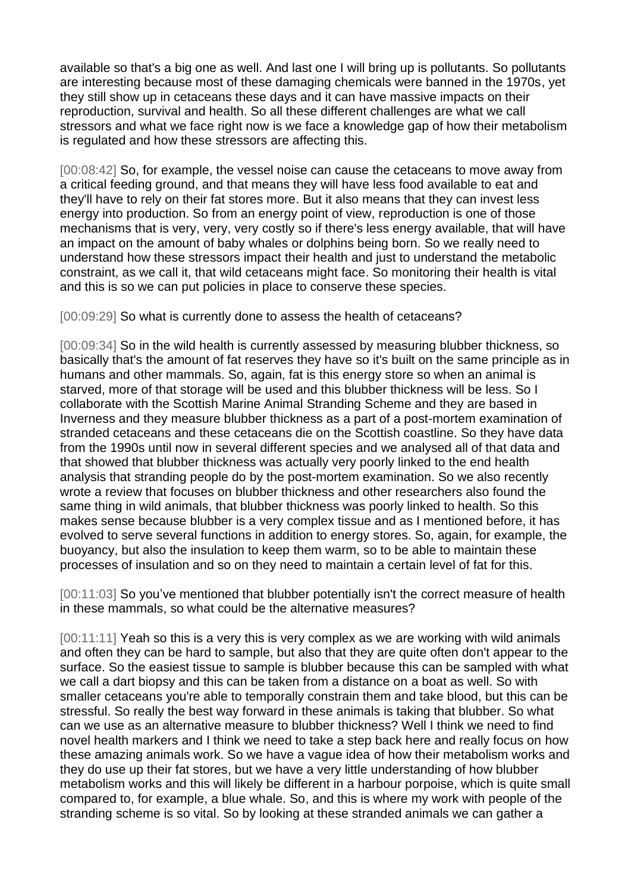available so that's a big one as well. And last one I will bring up is pollutants. So pollutants are interesting because most of these damaging chemicals were banned in the 1970s, yet they still show up in cetaceans these days and it can have massive impacts on their reproduction, survival and health. So all these different challenges are what we call stressors and what we face right now is we face a knowledge gap of how their metabolism is regulated and how these stressors are affecting this.

[00:08:42] So, for example, the vessel noise can cause the cetaceans to move away from a critical feeding ground, and that means they will have less food available to eat and they'll have to rely on their fat stores more. But it also means that they can invest less energy into production. So from an energy point of view, reproduction is one of those mechanisms that is very, very, very costly so if there's less energy available, that will have an impact on the amount of baby whales or dolphins being born. So we really need to understand how these stressors impact their health and just to understand the metabolic constraint, as we call it, that wild cetaceans might face. So monitoring their health is vital and this is so we can put policies in place to conserve these species.

[00:09:29] So what is currently done to assess the health of cetaceans?

[00:09:34] So in the wild health is currently assessed by measuring blubber thickness, so basically that's the amount of fat reserves they have so it's built on the same principle as in humans and other mammals. So, again, fat is this energy store so when an animal is starved, more of that storage will be used and this blubber thickness will be less. So I collaborate with the Scottish Marine Animal Stranding Scheme and they are based in Inverness and they measure blubber thickness as a part of a post-mortem examination of stranded cetaceans and these cetaceans die on the Scottish coastline. So they have data from the 1990s until now in several different species and we analysed all of that data and that showed that blubber thickness was actually very poorly linked to the end health analysis that stranding people do by the post-mortem examination. So we also recently wrote a review that focuses on blubber thickness and other researchers also found the same thing in wild animals, that blubber thickness was poorly linked to health. So this makes sense because blubber is a very complex tissue and as I mentioned before, it has evolved to serve several functions in addition to energy stores. So, again, for example, the buoyancy, but also the insulation to keep them warm, so to be able to maintain these processes of insulation and so on they need to maintain a certain level of fat for this.

[00:11:03] So you've mentioned that blubber potentially isn't the correct measure of health in these mammals, so what could be the alternative measures?

[00:11:11] Yeah so this is a very this is very complex as we are working with wild animals and often they can be hard to sample, but also that they are quite often don't appear to the surface. So the easiest tissue to sample is blubber because this can be sampled with what we call a dart biopsy and this can be taken from a distance on a boat as well. So with smaller cetaceans you're able to temporally constrain them and take blood, but this can be stressful. So really the best way forward in these animals is taking that blubber. So what can we use as an alternative measure to blubber thickness? Well I think we need to find novel health markers and I think we need to take a step back here and really focus on how these amazing animals work. So we have a vague idea of how their metabolism works and they do use up their fat stores, but we have a very little understanding of how blubber metabolism works and this will likely be different in a harbour porpoise, which is quite small compared to, for example, a blue whale. So, and this is where my work with people of the stranding scheme is so vital. So by looking at these stranded animals we can gather a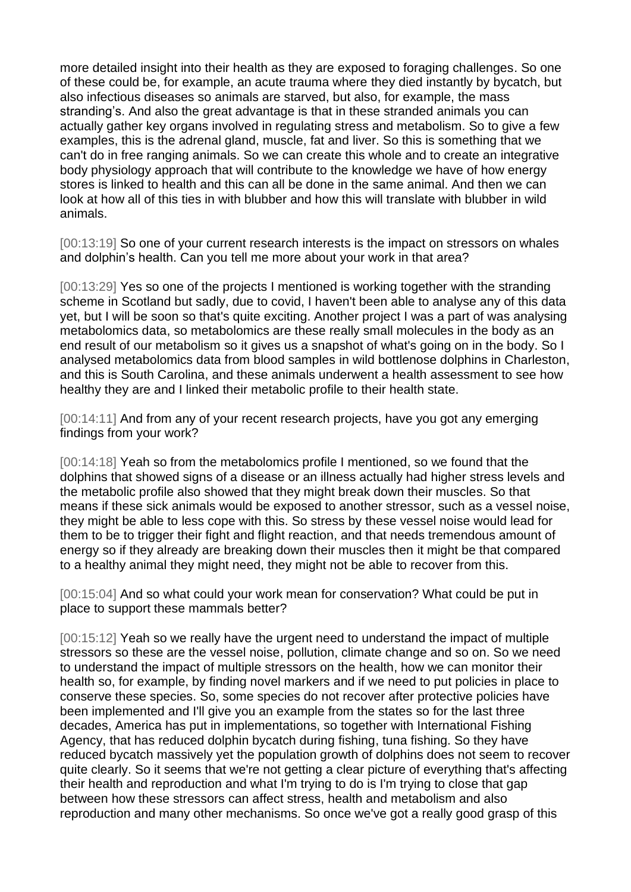more detailed insight into their health as they are exposed to foraging challenges. So one of these could be, for example, an acute trauma where they died instantly by bycatch, but also infectious diseases so animals are starved, but also, for example, the mass stranding's. And also the great advantage is that in these stranded animals you can actually gather key organs involved in regulating stress and metabolism. So to give a few examples, this is the adrenal gland, muscle, fat and liver. So this is something that we can't do in free ranging animals. So we can create this whole and to create an integrative body physiology approach that will contribute to the knowledge we have of how energy stores is linked to health and this can all be done in the same animal. And then we can look at how all of this ties in with blubber and how this will translate with blubber in wild animals.

[00:13:19] So one of your current research interests is the impact on stressors on whales and dolphin's health. Can you tell me more about your work in that area?

[00:13:29] Yes so one of the projects I mentioned is working together with the stranding scheme in Scotland but sadly, due to covid, I haven't been able to analyse any of this data yet, but I will be soon so that's quite exciting. Another project I was a part of was analysing metabolomics data, so metabolomics are these really small molecules in the body as an end result of our metabolism so it gives us a snapshot of what's going on in the body. So I analysed metabolomics data from blood samples in wild bottlenose dolphins in Charleston, and this is South Carolina, and these animals underwent a health assessment to see how healthy they are and I linked their metabolic profile to their health state.

[00:14:11] And from any of your recent research projects, have you got any emerging findings from your work?

[00:14:18] Yeah so from the metabolomics profile I mentioned, so we found that the dolphins that showed signs of a disease or an illness actually had higher stress levels and the metabolic profile also showed that they might break down their muscles. So that means if these sick animals would be exposed to another stressor, such as a vessel noise, they might be able to less cope with this. So stress by these vessel noise would lead for them to be to trigger their fight and flight reaction, and that needs tremendous amount of energy so if they already are breaking down their muscles then it might be that compared to a healthy animal they might need, they might not be able to recover from this.

[00:15:04] And so what could your work mean for conservation? What could be put in place to support these mammals better?

[00:15:12] Yeah so we really have the urgent need to understand the impact of multiple stressors so these are the vessel noise, pollution, climate change and so on. So we need to understand the impact of multiple stressors on the health, how we can monitor their health so, for example, by finding novel markers and if we need to put policies in place to conserve these species. So, some species do not recover after protective policies have been implemented and I'll give you an example from the states so for the last three decades, America has put in implementations, so together with International Fishing Agency, that has reduced dolphin bycatch during fishing, tuna fishing. So they have reduced bycatch massively yet the population growth of dolphins does not seem to recover quite clearly. So it seems that we're not getting a clear picture of everything that's affecting their health and reproduction and what I'm trying to do is I'm trying to close that gap between how these stressors can affect stress, health and metabolism and also reproduction and many other mechanisms. So once we've got a really good grasp of this